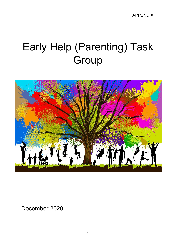# Early Help (Parenting) Task **Group**



December 2020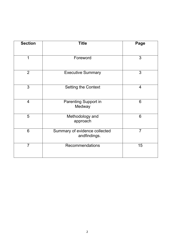| <b>Section</b> | <b>Title</b>                                  | Page           |
|----------------|-----------------------------------------------|----------------|
|                |                                               |                |
| 1              | Foreword                                      | 3              |
| $\overline{2}$ | <b>Executive Summary</b>                      | 3              |
| 3              | <b>Setting the Context</b>                    | $\overline{4}$ |
| $\overline{4}$ | <b>Parenting Support in</b><br>Medway         | 6              |
| 5              | Methodology and<br>approach                   | 6              |
| 6              | Summary of evidence collected<br>andfindings. | $\overline{7}$ |
| $\overline{7}$ | Recommendations                               | 15             |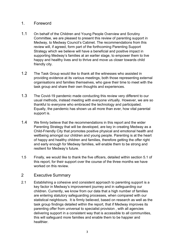# <span id="page-2-0"></span>1. Foreword

- 1.1 On behalf of the Children and Young People Overview and Scrutiny Committee, we are pleased to present this review of parenting support in Medway, to Medway Council's Cabinet. The recommendations from this review will, if agreed, form part of the forthcoming Parenting Support Strategy which we believe will have a beneficial and positive impact in supporting Medway's families at an earlier stage, to empower them to live happy and healthy lives and to thrive and move us closer towards child friendly city.
- 1.2 The Task Group would like to thank all the witnesses who assisted in providing evidence at its various meetings, both those representing external organisations and families themselves, who gave their time to meet with the task group and share their own thoughts and experiences.
- 1.3 The Covid-19 pandemic made conducting this review very different to our usual methods, instead meeting with everyone virtually. However, we are so thankful to everyone who embraced the technology and participated. Equally, the pandemic has shown us all more than ever, how vital parental support is.
- 1.4 We firmly believe that the recommendations in this report and the wider Parenting Strategy that will be developed, are key in creating Medway as a Child-Friendly City that promotes positive physical and emotional health and wellbeing amongst our children and young people. Parenting is at the heart of happy and healthy children and families, therefore getting the offer right and early enough for Medway families, will enable them to be strong and resilient for Medway's future.
- 1.5 Finally, we would like to thank the five officers, detailed within section 5.1 of this report, for their support over the course of the three months we have worked on this review.

## <span id="page-2-1"></span>2 Executive Summary

2.1 Establishing a cohesive and consistent approach to parenting support is a key factor in Medway's improvement journey and in safeguarding our children. Currently, we know from our data that a high number of families are entering statutory safeguarding processes, when compared with our statistical neighbours. It is firmly believed, based on research as well as the task group findings detailed within the report, that if Medway improves its parenting offer from universal to specialist provision , with all agencies delivering support in a consistent way that is accessible to all communities, this will safeguard more families and enable them to be happier and healthier.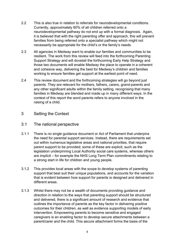- 2.2 This is also true in relation to referrals for neurodevelopmental conditions. Currently, approximately 60% of all children referred onto a neurodevelopmental pathway do not end up with a formal diagnosis. Again, it is believed that with the right parenting offer and approach, this will prevent families from being referred onto a specialist pathway which might not necessarily be appropriate for the child's or the family's needs.
- 2.3 All agencies in Medway want to enable our families and communities to be resilient. The work from this review will feed into the forthcoming Parenting Support Strategy and will dovetail the forthcoming Early Help Strategy and those two documents will enable Medway the place to operate in a coherent and cohesive way, delivering the best for Medway's children and families working to ensure families get support at the earliest point of need.
- 2.4 This review document and the forthcoming strategies will go beyond just parents. They are relevant for mothers, fathers, carers, grand-parents and any other significant adults within the family setting, recognising that many families in Medway are blended and made up in many different ways. In the context of this report the word parents refers to anyone involved in the raising of a child.

# <span id="page-3-0"></span>3 Setting the Context

## 3.1 The national perspective

- 3.1.1 There is no single guidance document or Act of Parliament that underpins the need for parental support services. Instead, there are requirements set out within numerous legislative areas and national priorities, that require parent support to be provided; some of these are explicit, such as the legislation underpinning Local Authority social care systems, whereas others are implicit – for example the NHS Long Term Plan commitments relating to a strong start in life for children and young people.
- 3.1.2 This provides local areas with the scope to develop systems of parenting support that best suit their unique populations, and accounts for the variation that is evident between how support for parents is designed and delivered in different areas.
- 3.1.3 Whilst there may not be a wealth of documents providing guidance and direction in relation to the ways that parenting support should be structured and delivered, there is a significant amount of research and evidence that outlines the importance of parents as the key factor in delivering positive outcomes for their children, as well as evidence supporting models of early intervention. Empowering parents to become sensitive and engaged caregivers is an enabling factor to develop secure attachments between a parent/carer and the child. This secure attachment forms the basis of the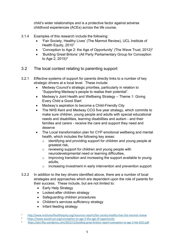child's wider relationships and is a protective factor against adverse childhood experiences (ACEs) across the life course.

- 3.1.4 Examples of this research include the following:
	- 'Fair Society, Healthy Lives' (The Marmot Review), UCL Institute of Health Equity, 2010<sup>1</sup>
	- 'Conception to Age 2: the Age of Opportunity' (The Wave Trust,  $2012$ )<sup>2</sup>
	- 'Building Great Britons' (All Party Parliamentary Group for Conception to Age 2,  $2015$ <sup>3</sup>
- 3.2 The local context relating to parenting support
- 3.2.1 Effective systems of support for parents directly links to a number of key strategic drivers at a local level. These include:
	- Medway Council's strategic priorities, particularly in relation to "Supporting Medway's people to realise their potential".
	- Medway's Joint Health and Wellbeing Strategy Theme 1: Giving Every Child a Good Start
	- Medway's aspiration to become a Child-Friendly City
	- The NHS Kent and Medway CCG five year strategy, which commits to make sure children, young people and adults with special educational needs and disabilities, learning disabilities and autism - and their families and carers - receive the care and support they need and deserve
	- The Local transformation plan for CYP emotional wellbeing and mental health, which includes the following key areas:
		- o identifying and providing support for children and young people at greatest risk,
		- o reviewing support for children and young people with neurodevelopmental need or learning difficulties,
		- $\circ$  improving transition and increasing the support available to young adults,
		- o increasing investment in early intervention and prevention support
- 3.2.2 In addition to the key drivers identified above, there are a number of local strategies and approaches which are dependent upon the role of parents for their success. These include, but are not limited to:
	- Early Help Strategy
	- Looked-after children strategy
	- Safeguarding children procedures
	- Children's services sufficiency strategy
	- Infant feeding strategy

3 <https://plct.files.wordpress.com/2012/11/building-great-britons-report-conception-to-age-2-feb-2015.pdf>

<sup>1</sup> <http://www.instituteofhealthequity.org/resources-reports/fair-society-healthy-lives-the-marmot-review>

<sup>2</sup>  [https://www.wavetrust.org/conception-to-age-2-the-age-of-opportun](https://www.wavetrust.org/conception-to-age-2-the-age-of-opportunity)ity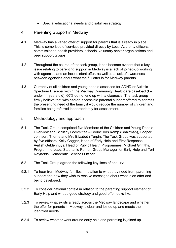• Special educational needs and disabilities strategy

# <span id="page-5-0"></span>4 Parenting Support in Medway

- 4.1 Medway has a varied offer of support for parents that is already in place. This is comprised of services provided directly by Local Authority officers, commissioned health providers, schools, voluntary sector organisations and peer support groups.
- 4.2 Throughout the course of the task group, it has become evident that a key issue relating to parenting support in Medway is a lack of joined-up working with agencies and an inconsistent offer, as well as a lack of awareness between agencies about what the full offer is for Medway parents.
- 4.3 Currently of all children and young people assessed for ADHD or Autistic Spectrum Disorder within the Medway Community Healthcare caseload (I.e. under 11 years old), 60% do not end up with a diagnosis. The task group firmly believe that with earlier, accessible parental support offered to address the presenting need of the family it would reduce the number of children and families being referred inappropriately for assessment.

#### <span id="page-5-1"></span>5 Methodology and approach

- 5.1 The Task Group comprised five Members of the Children and Young People Overview and Scrutiny Committee – Councillors Kemp (Chairman), Cooper, Johnson, Thorne and Mrs Elizabeth Turpin. The Task Group was supported by five officers; Kelly Cogger, Head of Early Help and First Response; Aeilish Geldenhuys, Head of Public Health Programmes; Michael Griffiths, Programme Lead; Stephanie Ponter, Group Manager for Early Help and Teri Reynolds, Democratic Services Officer.
- 5.2 The Task Group agreed the following key lines of enquiry:
- 5.2.1 To hear from Medway families in relation to what they need from parenting support and how they wish to receive messages about what is on offer and being developed.
- 5.2.2 To consider national context in relation to the parenting support element of Early Help and what a good strategy and good offer looks like.
- 5.2.3 To review what exists already across the Medway landscape and whether the offer for parents in Medway is clear and joined up and meets the identified needs.
- 5.2.4 To review whether work around early help and parenting is joined up.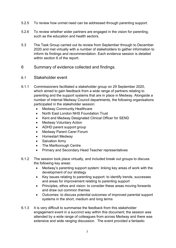- 5.2.5 To review how unmet need can be addressed through parenting support.
- 5.2.6 To review whether wider partners are engaged in the vision for parenting, such as the education and health sectors.
- 5.3 The Task Group carried out its review from September through to December 2020 and met virtually with a number of stakeholders to gather information to inform its findings and recommendation. Each evidence session is detailed within section 6 of the report.
- <span id="page-6-0"></span>6 Summary of evidence collected and findings.
- 6.1 Stakeholder event
- 6.1.1 Commissioners facilitated a stakeholder group on 29 September 2020, which aimed to gain feedback from a wide range of partners relating to parenting and the support systems that are in place in Medway. Alongside a number of internal Medway Council departments, the following organisations participated in the stakeholder session:
	- **Medway Community Healthcare**
	- North East London NHS Foundation Trust
	- Kent and Medway Designated Clinical Officer for SEND
	- Medway Voluntary Action
	- ADHD parent support group
	- **Medway Parent Carer Forum**
	- Homestart Medway
	- Salvation Army
	- The Marlborough Centre
	- Primary and Secondary Head Teacher representatives
- 6.1.2 The session took place virtually, and included break out groups to discuss the following key areas:
	- Medway's parenting support system: linking key areas of work with the development of our strategy
	- Key issues relating to parenting support: to identify trends, successes and areas for improvement relating to parenting support
	- Principles, ethos and vision: to consider these areas moving forwards and draw out common themes
	- Outcomes: to discuss potential outcomes of improved parental support systems in the short, medium and long terms
- 6.1.3 It is very difficult to summarise the feedback from this stakeholder engagement event in a succinct way within this document; the session was attended by a wide range of colleagues from across Medway and there was extensive and wide ranging discussion. The event provided a fantastic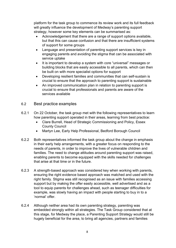platform for the task group to commence its review work and its full feedback will greatly influence the development of Medway's parenting support strategy, however some key elements can be summarised as:

- Acknowledgement that there are a range of support options available, but that this can cause confusion and that there are insufficient systems of support for some groups
- Language and presentation of parenting support services is key in engaging parents and avoiding the stigma that can be associated with service uptake
- It is important to develop a system with core "universal" messages or building blocks that are easily accessible to all parents, which can then be built on with more specialist options for support
- Developing resilient families and communities that can self-sustain is crucial to ensure that the approach to parenting support is sustainable
- An improved communication plan in relation to parenting support is crucial to ensure that professionals and parents are aware of the services available

## 6.2 Best practice examples

- 6.2.1 On 22 October, the task group met with the following representatives to learn how parenting support operated in their areas, learning from best practice:
	- Clare Burrell, Head of Strategic Commissioning and Policy, Essex County Council
	- Martyn Lee, Early Help Professional, Bedford Borough Council
- 6.2.2 Both representatives informed the task group about the change in emphasis in their early help arrangements, with a greater focus on responding to the needs of parents, in order to improve the lives of vulnerable children and families. The need to change attitudes around parenting support was raised, enabling parents to become equipped with the skills needed for challenges that arise at that time or in the future.
- 6.2.3 A strength-based approach was considered key when working with parents, ensuring the right evidence based approach was matched and used with the right family. Stigma was still recognised as an issue with families accessing support but by making the offer easily accessible, well advertised and as a tool to equip parents for challenges ahead, such as teenager difficulties for example, was slowly having an impact with people starting to buy in to a 'normal' offer.
- 6.2.4 Although neither area had its own parenting strategy, parenting was embedded strongly within all strategies. The Task Group considered that at this stage, for Medway the place, a Parenting Support Strategy would still be hugely beneficial for the area, to bring all agencies, partners and families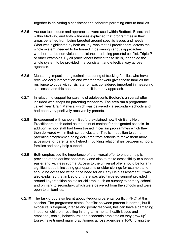together in delivering a consistent and coherent parenting offer to families.

- 6.2.5 Various techniques and approaches were used within Bedford, Essex and within Medway, and both witnesses explained that programmes in their areas benefited from being targeted around specific issues and needs. What was highlighted by both as key, was that all practitioners, across the whole system, needed to be trained in delivering various approaches, whether that be non-violence resistance, reducing parental conflict, Triple P or other examples. By all practitioners having these skills, it enabled the whole system to be provided in a consistent and effective way across agencies.
- 6.2.6 Measuring impact longitudinal measuring of tracking families who have received early intervention and whether that work gives those families the resilience to cope with crisis later on was considered important in measuring successes and this needed to be built in to any approach.
- 6.2.7 In relation to support for parents of adolescents Bedford's universal offer included workshops for parenting teenagers. The area ran a programme called Teen Brain Matters, which was delivered via secondary schools and had been very positively received by parents.
- 6.2.8 Engagement with schools Bedford explained how their Early Help Practitioners each acted as the point of contact for designated schools. In addition, school staff had been trained in certain programmes which they then delivered within their school clusters. This is in addition to some parenting programmes being delivered from schools to make them more accessible for parents and helped in building relationships between schools, families and early help support.
- 6.2.9 Both emphasised the importance of a universal offer to ensure help is provided at the earliest opportunity and also to make accessibility to support easier and with less stigma. Access to the universal offer should be for any significant adult, including grandparents or older siblings for example and should be accessed without the need for an Early Help assessment. It was also explained that in Bedford, there was also targeted support provided around key transition points for children, such as nursery to primary school and primary to secondary, which were delivered from the schools and were open to all families.
- 6.2.10 The task group also learnt about Reducing parental conflict (RPC) at this session. The programme states; "conflict between parents is normal, but if exposure is frequent, intense and poorly resolved, this can have a damaging impact on children, resulting in long-term mental health issues and emotional, social, behavioural and academic problems as they grow up". Essex have trained many practitioners across agencies in RPC, giving the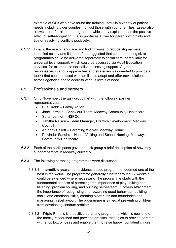example of GPs who have found the training useful in a variety of patient needs including older couples, not just those with young families. Essex also allows self-referral to the programme which they explained has the positive effect of self-recognition. It also produces a flyer for parents with hints and tips on resolving conflicts positively.

- 6.2.11 Finally, the use of language and finding ways to reduce stigma were identified as key and it is therefore suggested that some parenting skills programmes could be delivered separately to social care, particularly for universal level support, which could be accessed via Adult Education services, for example, to normalise accessing support. A graduated response with various approaches and strategies was needed to provide a toolkit that could be used with families to adapt and offer new solutions across agencies and to address various levels of need.
- 6.3 Professionals and partners
- 6.3.1 On 6 November, the task group met with the following partner representatives:
	- Sue Crabb Family Action
	- Jane Jarmain –Behaviour Team, Medway Community Healthcare
	- Sarah Jenner NSPCC
	- Tabitha Nelson Team Manager, Practice Development, Medway **Council**
	- Anthony Pallett Parenting Worker, Medway Council
	- Palvinder Sandhu Health Visiting and School Nursing, Medway, Community Healthcare
- 6.3.2 Each of the participants gave the task group a brief description of how they support parents in Medway currently.
- 6.3.3 The following parenting programmes were discussed:
	- 6.3.3.1 **Incredible years**  an evidence based programme, deemed one of the best in the world. The programme generally runs for around 12 weeks but could be extended where necessary. The programme starts with the fundamental aspects of parenting; the importance of play, talking and listening, problem solving, and building self-esteem. It covers attachment, the importance of recognising and rewarding good behaviour, building social and emotional skills, creating clear rules and boundaries and managing misbehaviour. The programme is aimed at preventing children from developing conduct problems.
	- 6.3.3.2 **Triple P**  this is a positive parenting programme which is now one of the mostly researched and provides practical strategies to provide parents with a toolbox of ideas and enable them to raise happy, confident children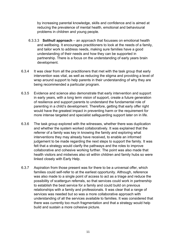by increasing parental knowledge, skills and confidence and is aimed at reducing the prevalence of mental health, emotional and behavioural problems in children and young people.

- 6.3.3.3 **Solihull approach**  an approach that focusses on emotional health and wellbeing. It encourages practitioners to look at the needs of a family, and tailor work to address needs, making sure families have a good understanding of their needs and how they can be supported in partnership. There is a focus on the understanding of early years brain development.
- 6.3.4 It was clear from all the practitioners that met with the task group that early intervention was vital, as well as reducing the stigma and providing a level of wrap around support to help parents in their understanding of why they are being recommended a particular program.
- 6.3.5 Evidence and science also demonstrate that early intervention and support in early years, with a long term vision of support, create a future generation of resilience and support parents to understand the fundamental role of parenting in a child's development. Therefore, getting that early offer right would have the greatest impact in preventing harm or the requirement for more intense targeted and specialist safeguarding support later on in life.
- 6.3.6 The task group explored with the witnesses, whether there was duplication and whether the system worked collaboratively. It was explained that the referrer of a family was key in knowing the family and exploring what interventions they may already have received, to enable an informed judgement to be made regarding the next steps to support the family. It was felt that a strategy would clarify the pathways and the roles to improve collaborative and cohesive working further. The point was also made that health visitors and midwives also sit within children and family hubs so were linked closely with Early Help.
- 6.3.7 Aspiration from those present was for there to be a universal offer, which families could self-refer to at the earliest opportunity. Although, reference was also made to a single point of access to act as a triage and reduce the possibility of scattergun referrals, so that services could work in partnership to establish the best service for a family and could build on previous relationships with a family and professionals. It was clear that a range of services was needed but so was a more collaborative approach with understanding of all the services available to families. It was considered that there was currently too much fragmentation and that a strategy would help build and sustain a more cohesive picture.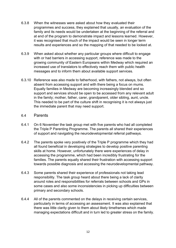- 6.3.8 When the witnesses were asked about how they evaluated their programmes and success, they explained that usually, an evaluation of the family and its needs would be undertaken at the beginning of the referral and at end of the program to demonstrate impact and lessons learned. However, it was recognised that much of the impact would be seen in longer term results and experiences and so the mapping of that needed to be looked at.
- 6.3.9 When asked about whether any particular groups where difficult to engage with or had barriers in accessing support, reference was made to the growing community of Eastern Europeans within Medway which required an increased use of translators to effectively reach them with public health messages and to inform them about available support services.
- 6.3.10 Reference was also made to fatherhood, with fathers, not always, but often absent from accessing support and with there being a focus on mums. Equally families in Medway are becoming increasingly blended and so support and services should be open to be accessed from any relevant adult in the family; mother, father, carer, grandparent, older sibling, aunt, uncle. This needed to be part of the culture shift in recognising it is not always just the immediate parent that may need support.

#### 6.4 Parents

- 6.4.1 On 6 November the task group met with five parents who had all completed the Triple P Parenting Programme. The parents all shared their experiences of support and navigating the neurodevelopmental referral pathways.
- 6.4.2 The parents spoke very positively of the Triple P programme which they had all found beneficial in developing strategies to develop positive parenting skills at home. However, unfortunately there were experiences of delay in accessing the programme, which had been incredibly frustrating for the families. The parents equally shared their frustration with accessing support towards possible diagnosis and accessing the neurodevelopmental pathway.
- 6.4.3 Some parents shared their experience of professionals not taking lead responsibility. The task group heard about there being a lack of clarity around roles and responsibilities for referrals between schools and GPs in some cases and also some inconsistencies in picking up difficulties between primary and secondary schools.
- 6.4.4 All of the parents commented on the delays in receiving certain services, particularly in terms of accessing an assessment. It was also explained that there was little clarity given to them about likely timeframes which made managing expectations difficult and in turn led to greater stress on the family.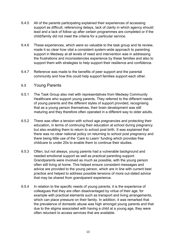- 6.4.5 All of the parents participating explained their experiences of accessing support as difficult, referencing delays, lack of clarity in which agency should lead and a lack of follow up after certain programmes are completed or if the child/family did not meet the criteria for a particular service.
- 6.4.6 These experiences, which were so valuable to the task group and its review, made it so clear how vital a consistent system-wide approach to parenting support in Medway at all levels of need and intervention was in addressing the frustrations and inconsistencies experience by these families and also to support them with strategies to help support their resilience and confidence.
- 6.4.7 Reference was made to the benefits of peer support and the parental community and how this could help support families support each other.

#### 6.5 Young Parents

- 6.5.1 The Task Group also met with representatives from Medway Community Healthcare who support young parents. They referred to the different needs of young parents and the different styles of support provided, recognising that as a young person themselves, their brain development was still maturing and they therefore often operated in a different way to older adults.
- 6.5.2 There was often a tension with school age pregnancies and protecting their education, in terms of continuing their education at school during pregnancy but also enabling them to return to school post birth. It was explained that there was no clear national policy on returning to school post pregnancy and there being little use of the 'Care to Learn' funding which provides free childcare to under 20s to enable them to continue their studies.
- 6.5.3 Often, but not always, young parents had a vulnerable background and needed emotional support as well as practical parenting support. Grandparents were involved as much as possible, with the young person often still living at home. This helped ensure consistent messages and advice are provided to the young person, which are in line with current best practice and helped to address possible tensions of more out-dated advice that may be shared from grandparent experience.
- 6.5.4 In relation to the specific needs of young parents, it is the experience of colleagues that they are often disadvantaged by virtue of their age; for example with practical elements such as transport and living arrangements, which can place pressure on their family. In addition, it was remarked that the prevalence of domestic abuse was high amongst young parents and that due to the stigma associated with having a child at a young age, they were often reluctant to access services that are available.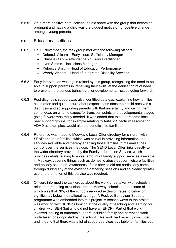- 6.5.5 On a more positive note, colleagues did share with the group that becoming pregnant and having a child was the biggest motivator for positive change amongst young parents.
- 6.6 Educational settings
- 6.6.1 On 19 November, the task group met with the following officers:
	- Deborah Allcorn Early Years Sufficiency Manager
	- Chrissie Clark Attendance Advisory Practitioner
	- Lynn Simms Inclusions Manager
	- Rebecca Smith Head of Education Performance
	- Wendy Vincent Head of Integrated Disability Services
- 6.6.2 Early intervention was again raised by this group, recognising the need to be able to support parents in 'renewing their skills' at the earliest point of need to prevent more serious behavioural or developmental issues going forward.
- 6.6.3 Post diagnosis support was also identified as a gap, explaining how families could often feel quite unsure about expectations once their child receives a diagnosis and so supporting parents with that uncertainty and giving them some ideas on what to expect for transition points and developmental stages going forward was really needed. It was added that to support some local peer support groups, for example relating to Autistic Spectrum Disorder or ADHD as examples, would also be beneficial to families.
- 6.6.4 Reference was made to Medway's Local Offer directory for children with SEND and their families, which was crucial in providing information about services available and thereby enabling those families to maximise their control over the services they use. The SEND Local Offer links directly to the wider directory provided by the Family Information Service, which provides details relating to a vast amount of family support services available in Medway, covering things such as domestic abuse support, leisure facilities and holiday schemes. Awareness of this service did not particularly come through during any of the evidence gathering sessions and so clearly greater use and promotion of this service was required.
- 6.6.5 Officers informed the task group about the work undertaken with schools in relation to reducing exclusions rate in Medway schools, the outcome of which was that 78% of the schools reduced exclusion rates to below or significantly below the national average. A Positive Behaviour Support programme was embedded into this project. A second wave to the project was working with SENCos looking at the quality of teaching and learning for children with SEN (but who did not have an EHCP). Part of that work involved looking at outreach support, including family and parenting work undertaken or signposted by the school. This work had recently concluded, and it found that there was a lot of support services available for families but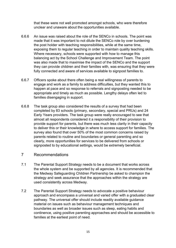that these were not well promoted amongst schools, who were therefore unclear and unaware about the opportunities available.

- 6.6.6 An issue was raised about the role of the SENCo in schools. The point was made that it was important to not dilute the SENCo role by over burdening the post holder with teaching responsibilities, while at the same time, exposing them to regular teaching in order to maintain quality teaching skills. Where necessary, schools were supported with how to manage this balancing act by the School Challenge and Improvement Team. The point was also made that to maximise the impact of the SENCo and the support they can provide children and their families with, was ensuring that they were fully connected and aware of services available to signpost families to.
- 6.6.7 Officers spoke about there often being a real willingness of parents to engage and work as a family to address difficulties, but they wanted this to happen at pace and so response to referrals and signposting needed to be appropriate and timely as much as possible. Lengthy delays often led to families disengaging in support.
- 6.6.8 The task group also considered the results of a survey that had been completed by 83 schools (primary, secondary, special and PRUs) and 24 Early Years providers. The task group were really encouraged to see that almost all respondents considered it a responsibility of their provision to provide support for parents, but there was much less clarity in their capacity to deliver this or their knowledge in where to access support for families. The survey also found that over 50% of the most common concerns raised by parents related to routine and boundaries or general parenting and so clearly, more opportunities for services to be delivered from schools or signposted to by educational settings, would be extremely beneficial.
- <span id="page-14-0"></span>7 Recommendations
- 7.1 The Parental Support Strategy needs to be a document that works across the whole system and be supported by all agencies. It is recommended that the Medway Safeguarding Children Partnership be asked to champion the strategy and seek assurance that the approaches within the strategy are used consistently across Medway.
- 7.2 The Parental Support Strategy needs to advocate a positive behaviour approach and encompass a universal and varied offer with a graduated clear pathway. The universal offer should include readily available guidance material on issues such as behaviour management techniques and boundaries as well as broader issues such as sleep, eating habits and continence, using positive parenting approaches and should be accessible to families at the earliest point of need.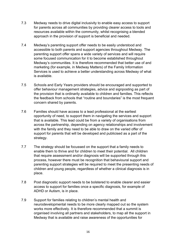- 7.3 Medway needs to drive digital inclusivity to enable easy access to support for parents across all communities by providing clearer access to tools and resources available within the community, whilst recognising a blended approach in the provision of support is beneficial and needed.
- 7.4 Medway's parenting support offer needs to be easily understood and accessible to both parents and support agencies throughout Medway. The parenting support offer spans a wide variety of services and will require some focused communication for it to become established throughout Medway's communities. It is therefore recommended that better use of and marketing (for example, in Medway Matters) of the Family Information Services is used to achieve a better understanding across Medway of what is available.
- 7.5 Schools and Early Years providers should be encouraged and supported to offer behaviour management strategies, advice and signposting as part of the provision that is ordinarily available to children and families. This reflects the feedback from schools that "routine and boundaries" is the most frequent concern shared by parents.
- 7.6 Families should have access to a lead professional at the earliest opportunity of need, to support them in navigating the services and support that is available. This lead could be from a variety of organisations from across the partnership, depending on agency relationships and involvement with the family and they need to be able to draw on the varied offer of support for parents that will be developed and publicised as a part of the strategy.
- 7.7 The strategy should be focussed on the support that a family needs to enable them to thrive and for children to meet their potential. All children that require assessment and/or diagnosis will be supported through this process, however there must be recognition that behavioural support and parenting support strategies will be required to meet the presenting needs of children and young people, regardless of whether a clinical diagnosis is in place.
- 7.8 Post diagnostic support needs to be bolstered to enable clearer and easier access to support for families once a specific diagnosis, for example of ADHD or Autism, is in place.
- 7.9 Support for families relating to children's mental health and neurodevelopmental needs to be more clearly mapped out so the system works more effectively. It is therefore recommended that a summit is organised involving all partners and stakeholders, to map all the support in Medway that is available and raise awareness of the opportunities for